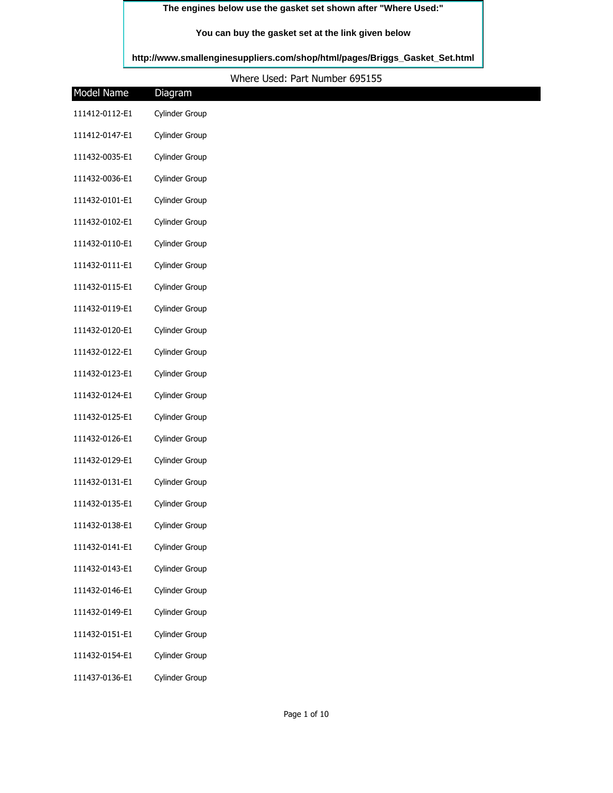## **The engines below use the gasket set shown after "Where Used:"**

## **You can buy the gasket set at the link given below**

**[http://www.smallenginesuppliers.com/shop/html/pages/Briggs\\_Gasket\\_Set.html](http://www.smallenginesuppliers.com/shop/html/pages/Briggs_Gasket_Set.html)**

## Where Used: Part Number 695155

| Model Name     | Diagram        |  |
|----------------|----------------|--|
| 111412-0112-E1 | Cylinder Group |  |
| 111412-0147-E1 | Cylinder Group |  |
| 111432-0035-E1 | Cylinder Group |  |
| 111432-0036-E1 | Cylinder Group |  |
| 111432-0101-E1 | Cylinder Group |  |
| 111432-0102-E1 | Cylinder Group |  |
| 111432-0110-E1 | Cylinder Group |  |
| 111432-0111-E1 | Cylinder Group |  |
| 111432-0115-E1 | Cylinder Group |  |
| 111432-0119-E1 | Cylinder Group |  |
| 111432-0120-E1 | Cylinder Group |  |
| 111432-0122-E1 | Cylinder Group |  |
| 111432-0123-E1 | Cylinder Group |  |
| 111432-0124-E1 | Cylinder Group |  |
| 111432-0125-E1 | Cylinder Group |  |
| 111432-0126-E1 | Cylinder Group |  |
| 111432-0129-E1 | Cylinder Group |  |
| 111432-0131-E1 | Cylinder Group |  |
| 111432-0135-E1 | Cylinder Group |  |
| 111432-0138-E1 | Cylinder Group |  |
| 111432-0141-E1 | Cylinder Group |  |
| 111432-0143-E1 | Cylinder Group |  |
| 111432-0146-E1 | Cylinder Group |  |
| 111432-0149-E1 | Cylinder Group |  |
| 111432-0151-E1 | Cylinder Group |  |
| 111432-0154-E1 | Cylinder Group |  |
| 111437-0136-E1 | Cylinder Group |  |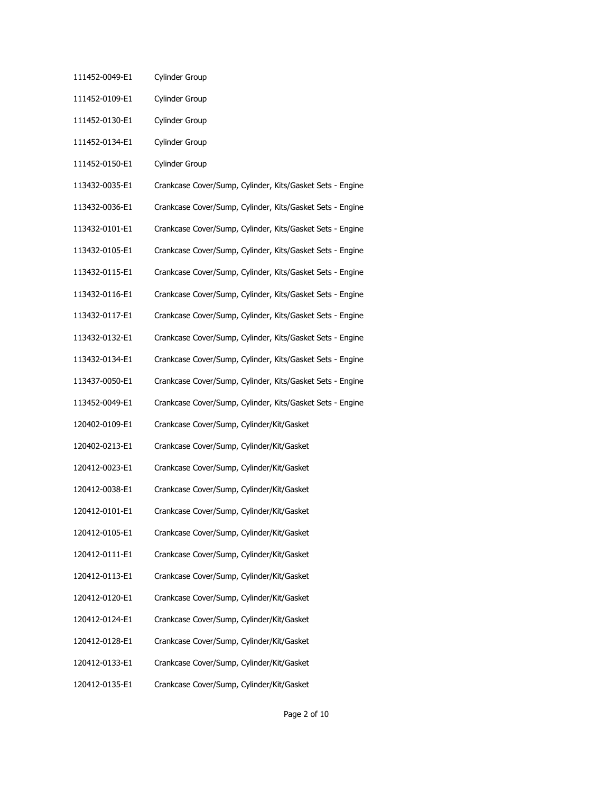- 111452-0049-E1 Cylinder Group
- 111452-0109-E1 Cylinder Group
- 111452-0130-E1 Cylinder Group
- 111452-0134-E1 Cylinder Group
- 111452-0150-E1 Cylinder Group
- 113432-0035-E1 Crankcase Cover/Sump, Cylinder, Kits/Gasket Sets Engine
- 113432-0036-E1 Crankcase Cover/Sump, Cylinder, Kits/Gasket Sets Engine
- 113432-0101-E1 Crankcase Cover/Sump, Cylinder, Kits/Gasket Sets Engine
- 113432-0105-E1 Crankcase Cover/Sump, Cylinder, Kits/Gasket Sets Engine
- 113432-0115-E1 Crankcase Cover/Sump, Cylinder, Kits/Gasket Sets Engine
- 113432-0116-E1 Crankcase Cover/Sump, Cylinder, Kits/Gasket Sets Engine
- 113432-0117-E1 Crankcase Cover/Sump, Cylinder, Kits/Gasket Sets Engine
- 113432-0132-E1 Crankcase Cover/Sump, Cylinder, Kits/Gasket Sets Engine
- 113432-0134-E1 Crankcase Cover/Sump, Cylinder, Kits/Gasket Sets Engine
- 113437-0050-E1 Crankcase Cover/Sump, Cylinder, Kits/Gasket Sets Engine
- 113452-0049-E1 Crankcase Cover/Sump, Cylinder, Kits/Gasket Sets Engine
- 120402-0109-E1 Crankcase Cover/Sump, Cylinder/Kit/Gasket
- 120402-0213-E1 Crankcase Cover/Sump, Cylinder/Kit/Gasket
- 120412-0023-E1 Crankcase Cover/Sump, Cylinder/Kit/Gasket
- 120412-0038-E1 Crankcase Cover/Sump, Cylinder/Kit/Gasket
- 120412-0101-E1 Crankcase Cover/Sump, Cylinder/Kit/Gasket
- 120412-0105-E1 Crankcase Cover/Sump, Cylinder/Kit/Gasket
- 120412-0111-E1 Crankcase Cover/Sump, Cylinder/Kit/Gasket
- 120412-0113-E1 Crankcase Cover/Sump, Cylinder/Kit/Gasket
- 120412-0120-E1 Crankcase Cover/Sump, Cylinder/Kit/Gasket
- 120412-0124-E1 Crankcase Cover/Sump, Cylinder/Kit/Gasket
- 120412-0128-E1 Crankcase Cover/Sump, Cylinder/Kit/Gasket
- 120412-0133-E1 Crankcase Cover/Sump, Cylinder/Kit/Gasket
- 120412-0135-E1 Crankcase Cover/Sump, Cylinder/Kit/Gasket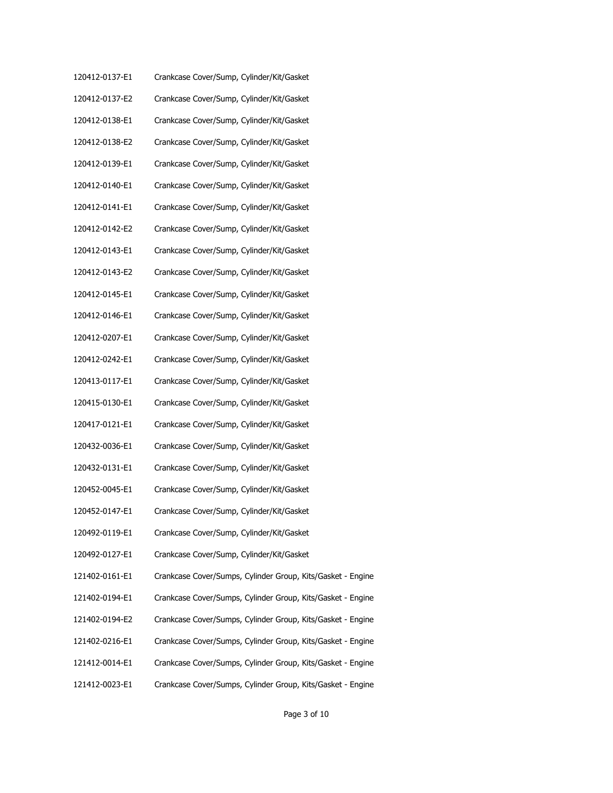| 120412-0137-E1 | Crankcase Cover/Sump, Cylinder/Kit/Gasket                   |
|----------------|-------------------------------------------------------------|
| 120412-0137-E2 | Crankcase Cover/Sump, Cylinder/Kit/Gasket                   |
| 120412-0138-E1 | Crankcase Cover/Sump, Cylinder/Kit/Gasket                   |
| 120412-0138-E2 | Crankcase Cover/Sump, Cylinder/Kit/Gasket                   |
| 120412-0139-E1 | Crankcase Cover/Sump, Cylinder/Kit/Gasket                   |
| 120412-0140-E1 | Crankcase Cover/Sump, Cylinder/Kit/Gasket                   |
| 120412-0141-E1 | Crankcase Cover/Sump, Cylinder/Kit/Gasket                   |
| 120412-0142-E2 | Crankcase Cover/Sump, Cylinder/Kit/Gasket                   |
| 120412-0143-E1 | Crankcase Cover/Sump, Cylinder/Kit/Gasket                   |
| 120412-0143-E2 | Crankcase Cover/Sump, Cylinder/Kit/Gasket                   |
| 120412-0145-E1 | Crankcase Cover/Sump, Cylinder/Kit/Gasket                   |
| 120412-0146-E1 | Crankcase Cover/Sump, Cylinder/Kit/Gasket                   |
| 120412-0207-E1 | Crankcase Cover/Sump, Cylinder/Kit/Gasket                   |
| 120412-0242-E1 | Crankcase Cover/Sump, Cylinder/Kit/Gasket                   |
| 120413-0117-E1 | Crankcase Cover/Sump, Cylinder/Kit/Gasket                   |
| 120415-0130-E1 | Crankcase Cover/Sump, Cylinder/Kit/Gasket                   |
| 120417-0121-E1 | Crankcase Cover/Sump, Cylinder/Kit/Gasket                   |
| 120432-0036-E1 | Crankcase Cover/Sump, Cylinder/Kit/Gasket                   |
| 120432-0131-E1 | Crankcase Cover/Sump, Cylinder/Kit/Gasket                   |
| 120452-0045-E1 | Crankcase Cover/Sump, Cylinder/Kit/Gasket                   |
| 120452-0147-E1 | Crankcase Cover/Sump, Cylinder/Kit/Gasket                   |
| 120492-0119-E1 | Crankcase Cover/Sump, Cylinder/Kit/Gasket                   |
| 120492-0127-E1 | Crankcase Cover/Sump, Cylinder/Kit/Gasket                   |
| 121402-0161-E1 | Crankcase Cover/Sumps, Cylinder Group, Kits/Gasket - Engine |
| 121402-0194-E1 | Crankcase Cover/Sumps, Cylinder Group, Kits/Gasket - Engine |
| 121402-0194-E2 | Crankcase Cover/Sumps, Cylinder Group, Kits/Gasket - Engine |
| 121402-0216-E1 | Crankcase Cover/Sumps, Cylinder Group, Kits/Gasket - Engine |
| 121412-0014-E1 | Crankcase Cover/Sumps, Cylinder Group, Kits/Gasket - Engine |
| 121412-0023-E1 | Crankcase Cover/Sumps, Cylinder Group, Kits/Gasket - Engine |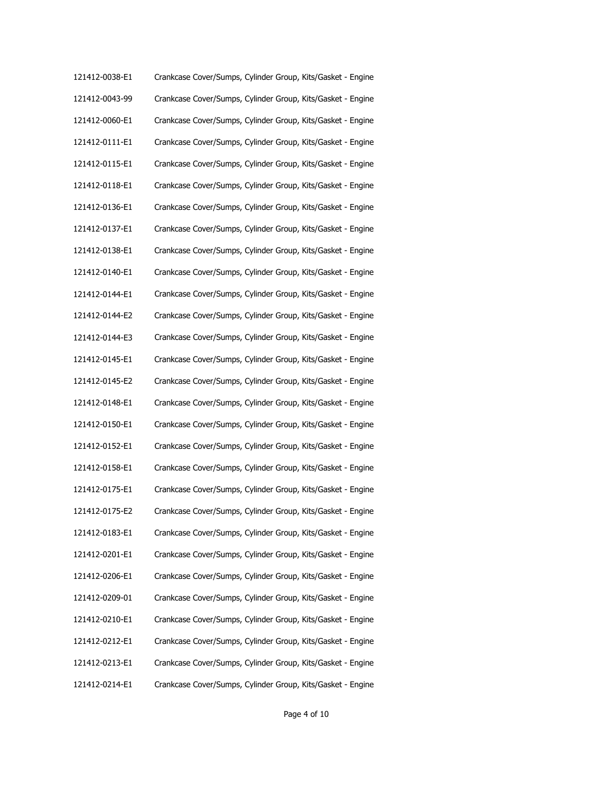| 121412-0038-E1 | Crankcase Cover/Sumps, Cylinder Group, Kits/Gasket - Engine |
|----------------|-------------------------------------------------------------|
| 121412-0043-99 | Crankcase Cover/Sumps, Cylinder Group, Kits/Gasket - Engine |
| 121412-0060-E1 | Crankcase Cover/Sumps, Cylinder Group, Kits/Gasket - Engine |
| 121412-0111-E1 | Crankcase Cover/Sumps, Cylinder Group, Kits/Gasket - Engine |
| 121412-0115-E1 | Crankcase Cover/Sumps, Cylinder Group, Kits/Gasket - Engine |
| 121412-0118-E1 | Crankcase Cover/Sumps, Cylinder Group, Kits/Gasket - Engine |
| 121412-0136-E1 | Crankcase Cover/Sumps, Cylinder Group, Kits/Gasket - Engine |
| 121412-0137-E1 | Crankcase Cover/Sumps, Cylinder Group, Kits/Gasket - Engine |
| 121412-0138-E1 | Crankcase Cover/Sumps, Cylinder Group, Kits/Gasket - Engine |
| 121412-0140-E1 | Crankcase Cover/Sumps, Cylinder Group, Kits/Gasket - Engine |
| 121412-0144-E1 | Crankcase Cover/Sumps, Cylinder Group, Kits/Gasket - Engine |
| 121412-0144-E2 | Crankcase Cover/Sumps, Cylinder Group, Kits/Gasket - Engine |
| 121412-0144-E3 | Crankcase Cover/Sumps, Cylinder Group, Kits/Gasket - Engine |
| 121412-0145-E1 | Crankcase Cover/Sumps, Cylinder Group, Kits/Gasket - Engine |
| 121412-0145-E2 | Crankcase Cover/Sumps, Cylinder Group, Kits/Gasket - Engine |
| 121412-0148-E1 | Crankcase Cover/Sumps, Cylinder Group, Kits/Gasket - Engine |
| 121412-0150-E1 | Crankcase Cover/Sumps, Cylinder Group, Kits/Gasket - Engine |
| 121412-0152-E1 | Crankcase Cover/Sumps, Cylinder Group, Kits/Gasket - Engine |
| 121412-0158-E1 | Crankcase Cover/Sumps, Cylinder Group, Kits/Gasket - Engine |
| 121412-0175-E1 | Crankcase Cover/Sumps, Cylinder Group, Kits/Gasket - Engine |
| 121412-0175-E2 | Crankcase Cover/Sumps, Cylinder Group, Kits/Gasket - Engine |
| 121412-0183-E1 | Crankcase Cover/Sumps, Cylinder Group, Kits/Gasket - Engine |
| 121412-0201-E1 | Crankcase Cover/Sumps, Cylinder Group, Kits/Gasket - Engine |
| 121412-0206-E1 | Crankcase Cover/Sumps, Cylinder Group, Kits/Gasket - Engine |
| 121412-0209-01 | Crankcase Cover/Sumps, Cylinder Group, Kits/Gasket - Engine |
| 121412-0210-E1 | Crankcase Cover/Sumps, Cylinder Group, Kits/Gasket - Engine |
| 121412-0212-E1 | Crankcase Cover/Sumps, Cylinder Group, Kits/Gasket - Engine |
| 121412-0213-E1 | Crankcase Cover/Sumps, Cylinder Group, Kits/Gasket - Engine |
| 121412-0214-E1 | Crankcase Cover/Sumps, Cylinder Group, Kits/Gasket - Engine |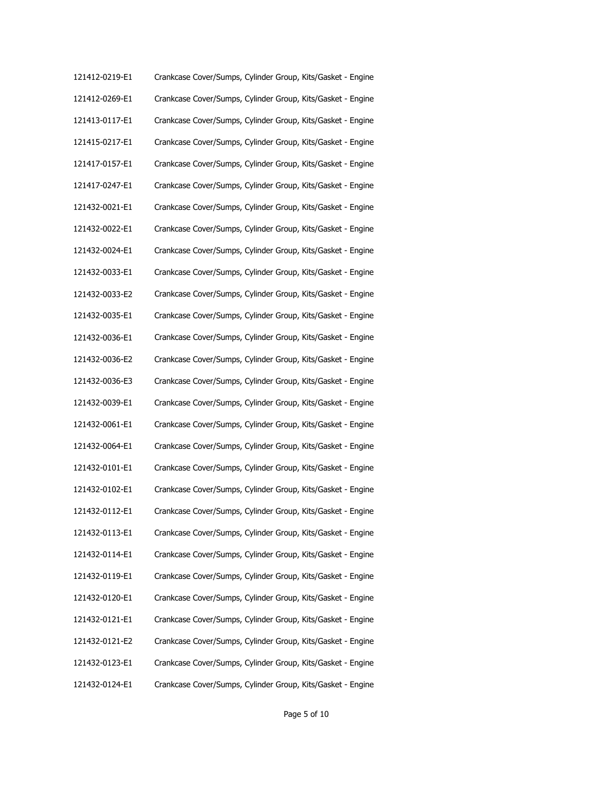| 121412-0219-E1 | Crankcase Cover/Sumps, Cylinder Group, Kits/Gasket - Engine |
|----------------|-------------------------------------------------------------|
| 121412-0269-E1 | Crankcase Cover/Sumps, Cylinder Group, Kits/Gasket - Engine |
| 121413-0117-E1 | Crankcase Cover/Sumps, Cylinder Group, Kits/Gasket - Engine |
| 121415-0217-E1 | Crankcase Cover/Sumps, Cylinder Group, Kits/Gasket - Engine |
| 121417-0157-E1 | Crankcase Cover/Sumps, Cylinder Group, Kits/Gasket - Engine |
| 121417-0247-E1 | Crankcase Cover/Sumps, Cylinder Group, Kits/Gasket - Engine |
| 121432-0021-E1 | Crankcase Cover/Sumps, Cylinder Group, Kits/Gasket - Engine |
| 121432-0022-E1 | Crankcase Cover/Sumps, Cylinder Group, Kits/Gasket - Engine |
| 121432-0024-E1 | Crankcase Cover/Sumps, Cylinder Group, Kits/Gasket - Engine |
| 121432-0033-E1 | Crankcase Cover/Sumps, Cylinder Group, Kits/Gasket - Engine |
| 121432-0033-E2 | Crankcase Cover/Sumps, Cylinder Group, Kits/Gasket - Engine |
| 121432-0035-E1 | Crankcase Cover/Sumps, Cylinder Group, Kits/Gasket - Engine |
| 121432-0036-E1 | Crankcase Cover/Sumps, Cylinder Group, Kits/Gasket - Engine |
| 121432-0036-E2 | Crankcase Cover/Sumps, Cylinder Group, Kits/Gasket - Engine |
| 121432-0036-E3 | Crankcase Cover/Sumps, Cylinder Group, Kits/Gasket - Engine |
| 121432-0039-E1 | Crankcase Cover/Sumps, Cylinder Group, Kits/Gasket - Engine |
| 121432-0061-E1 | Crankcase Cover/Sumps, Cylinder Group, Kits/Gasket - Engine |
| 121432-0064-E1 | Crankcase Cover/Sumps, Cylinder Group, Kits/Gasket - Engine |
| 121432-0101-E1 | Crankcase Cover/Sumps, Cylinder Group, Kits/Gasket - Engine |
| 121432-0102-E1 | Crankcase Cover/Sumps, Cylinder Group, Kits/Gasket - Engine |
| 121432-0112-E1 | Crankcase Cover/Sumps, Cylinder Group, Kits/Gasket - Engine |
| 121432-0113-E1 | Crankcase Cover/Sumps, Cylinder Group, Kits/Gasket - Engine |
| 121432-0114-E1 | Crankcase Cover/Sumps, Cylinder Group, Kits/Gasket - Engine |
| 121432-0119-E1 | Crankcase Cover/Sumps, Cylinder Group, Kits/Gasket - Engine |
| 121432-0120-E1 | Crankcase Cover/Sumps, Cylinder Group, Kits/Gasket - Engine |
| 121432-0121-E1 | Crankcase Cover/Sumps, Cylinder Group, Kits/Gasket - Engine |
| 121432-0121-E2 | Crankcase Cover/Sumps, Cylinder Group, Kits/Gasket - Engine |
| 121432-0123-E1 | Crankcase Cover/Sumps, Cylinder Group, Kits/Gasket - Engine |
| 121432-0124-E1 | Crankcase Cover/Sumps, Cylinder Group, Kits/Gasket - Engine |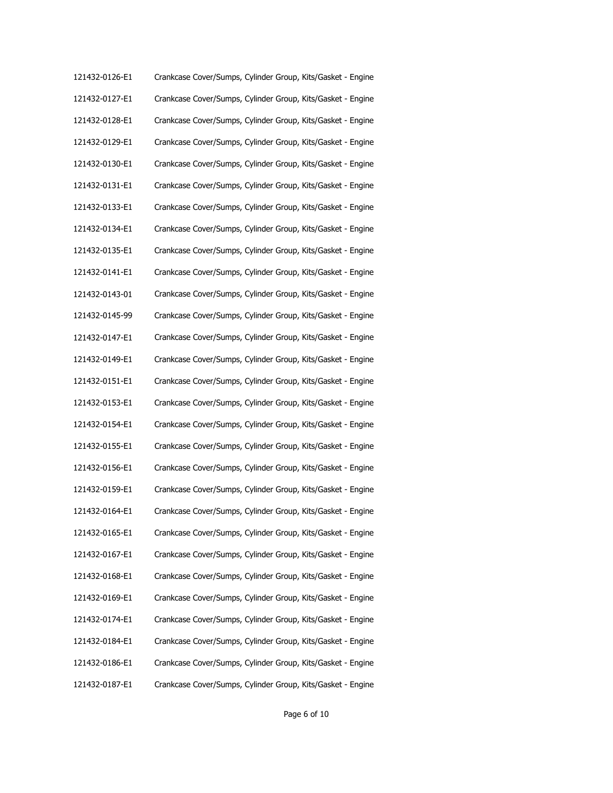| 121432-0126-E1 | Crankcase Cover/Sumps, Cylinder Group, Kits/Gasket - Engine |
|----------------|-------------------------------------------------------------|
| 121432-0127-E1 | Crankcase Cover/Sumps, Cylinder Group, Kits/Gasket - Engine |
| 121432-0128-E1 | Crankcase Cover/Sumps, Cylinder Group, Kits/Gasket - Engine |
| 121432-0129-E1 | Crankcase Cover/Sumps, Cylinder Group, Kits/Gasket - Engine |
| 121432-0130-E1 | Crankcase Cover/Sumps, Cylinder Group, Kits/Gasket - Engine |
| 121432-0131-E1 | Crankcase Cover/Sumps, Cylinder Group, Kits/Gasket - Engine |
| 121432-0133-E1 | Crankcase Cover/Sumps, Cylinder Group, Kits/Gasket - Engine |
| 121432-0134-E1 | Crankcase Cover/Sumps, Cylinder Group, Kits/Gasket - Engine |
| 121432-0135-E1 | Crankcase Cover/Sumps, Cylinder Group, Kits/Gasket - Engine |
| 121432-0141-E1 | Crankcase Cover/Sumps, Cylinder Group, Kits/Gasket - Engine |
| 121432-0143-01 | Crankcase Cover/Sumps, Cylinder Group, Kits/Gasket - Engine |
| 121432-0145-99 | Crankcase Cover/Sumps, Cylinder Group, Kits/Gasket - Engine |
| 121432-0147-E1 | Crankcase Cover/Sumps, Cylinder Group, Kits/Gasket - Engine |
| 121432-0149-E1 | Crankcase Cover/Sumps, Cylinder Group, Kits/Gasket - Engine |
| 121432-0151-E1 | Crankcase Cover/Sumps, Cylinder Group, Kits/Gasket - Engine |
| 121432-0153-E1 | Crankcase Cover/Sumps, Cylinder Group, Kits/Gasket - Engine |
| 121432-0154-E1 | Crankcase Cover/Sumps, Cylinder Group, Kits/Gasket - Engine |
| 121432-0155-E1 | Crankcase Cover/Sumps, Cylinder Group, Kits/Gasket - Engine |
| 121432-0156-E1 | Crankcase Cover/Sumps, Cylinder Group, Kits/Gasket - Engine |
| 121432-0159-E1 | Crankcase Cover/Sumps, Cylinder Group, Kits/Gasket - Engine |
| 121432-0164-E1 | Crankcase Cover/Sumps, Cylinder Group, Kits/Gasket - Engine |
| 121432-0165-E1 | Crankcase Cover/Sumps, Cylinder Group, Kits/Gasket - Engine |
| 121432-0167-E1 | Crankcase Cover/Sumps, Cylinder Group, Kits/Gasket - Engine |
| 121432-0168-E1 | Crankcase Cover/Sumps, Cylinder Group, Kits/Gasket - Engine |
| 121432-0169-E1 | Crankcase Cover/Sumps, Cylinder Group, Kits/Gasket - Engine |
| 121432-0174-E1 | Crankcase Cover/Sumps, Cylinder Group, Kits/Gasket - Engine |
| 121432-0184-E1 | Crankcase Cover/Sumps, Cylinder Group, Kits/Gasket - Engine |
| 121432-0186-E1 | Crankcase Cover/Sumps, Cylinder Group, Kits/Gasket - Engine |
| 121432-0187-E1 | Crankcase Cover/Sumps, Cylinder Group, Kits/Gasket - Engine |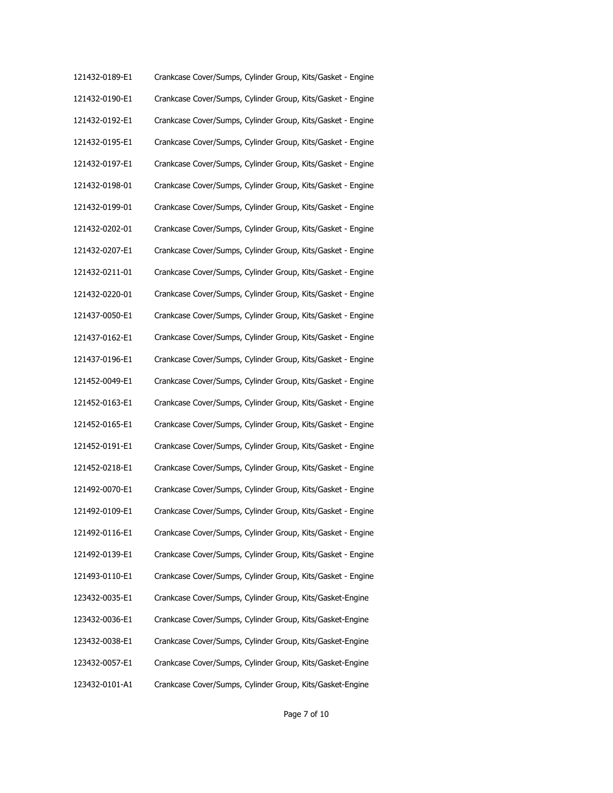| 121432-0189-E1 | Crankcase Cover/Sumps, Cylinder Group, Kits/Gasket - Engine |
|----------------|-------------------------------------------------------------|
| 121432-0190-E1 | Crankcase Cover/Sumps, Cylinder Group, Kits/Gasket - Engine |
| 121432-0192-E1 | Crankcase Cover/Sumps, Cylinder Group, Kits/Gasket - Engine |
| 121432-0195-E1 | Crankcase Cover/Sumps, Cylinder Group, Kits/Gasket - Engine |
| 121432-0197-E1 | Crankcase Cover/Sumps, Cylinder Group, Kits/Gasket - Engine |
| 121432-0198-01 | Crankcase Cover/Sumps, Cylinder Group, Kits/Gasket - Engine |
| 121432-0199-01 | Crankcase Cover/Sumps, Cylinder Group, Kits/Gasket - Engine |
| 121432-0202-01 | Crankcase Cover/Sumps, Cylinder Group, Kits/Gasket - Engine |
| 121432-0207-E1 | Crankcase Cover/Sumps, Cylinder Group, Kits/Gasket - Engine |
| 121432-0211-01 | Crankcase Cover/Sumps, Cylinder Group, Kits/Gasket - Engine |
| 121432-0220-01 | Crankcase Cover/Sumps, Cylinder Group, Kits/Gasket - Engine |
| 121437-0050-E1 | Crankcase Cover/Sumps, Cylinder Group, Kits/Gasket - Engine |
| 121437-0162-E1 | Crankcase Cover/Sumps, Cylinder Group, Kits/Gasket - Engine |
| 121437-0196-E1 | Crankcase Cover/Sumps, Cylinder Group, Kits/Gasket - Engine |
| 121452-0049-E1 | Crankcase Cover/Sumps, Cylinder Group, Kits/Gasket - Engine |
| 121452-0163-E1 | Crankcase Cover/Sumps, Cylinder Group, Kits/Gasket - Engine |
| 121452-0165-E1 | Crankcase Cover/Sumps, Cylinder Group, Kits/Gasket - Engine |
| 121452-0191-E1 | Crankcase Cover/Sumps, Cylinder Group, Kits/Gasket - Engine |
| 121452-0218-E1 | Crankcase Cover/Sumps, Cylinder Group, Kits/Gasket - Engine |
| 121492-0070-E1 | Crankcase Cover/Sumps, Cylinder Group, Kits/Gasket - Engine |
| 121492-0109-E1 | Crankcase Cover/Sumps, Cylinder Group, Kits/Gasket - Engine |
| 121492-0116-E1 | Crankcase Cover/Sumps, Cylinder Group, Kits/Gasket - Engine |
| 121492-0139-E1 | Crankcase Cover/Sumps, Cylinder Group, Kits/Gasket - Engine |
| 121493-0110-E1 | Crankcase Cover/Sumps, Cylinder Group, Kits/Gasket - Engine |
| 123432-0035-E1 | Crankcase Cover/Sumps, Cylinder Group, Kits/Gasket-Engine   |
| 123432-0036-E1 | Crankcase Cover/Sumps, Cylinder Group, Kits/Gasket-Engine   |
| 123432-0038-E1 | Crankcase Cover/Sumps, Cylinder Group, Kits/Gasket-Engine   |
| 123432-0057-E1 | Crankcase Cover/Sumps, Cylinder Group, Kits/Gasket-Engine   |
| 123432-0101-A1 | Crankcase Cover/Sumps, Cylinder Group, Kits/Gasket-Engine   |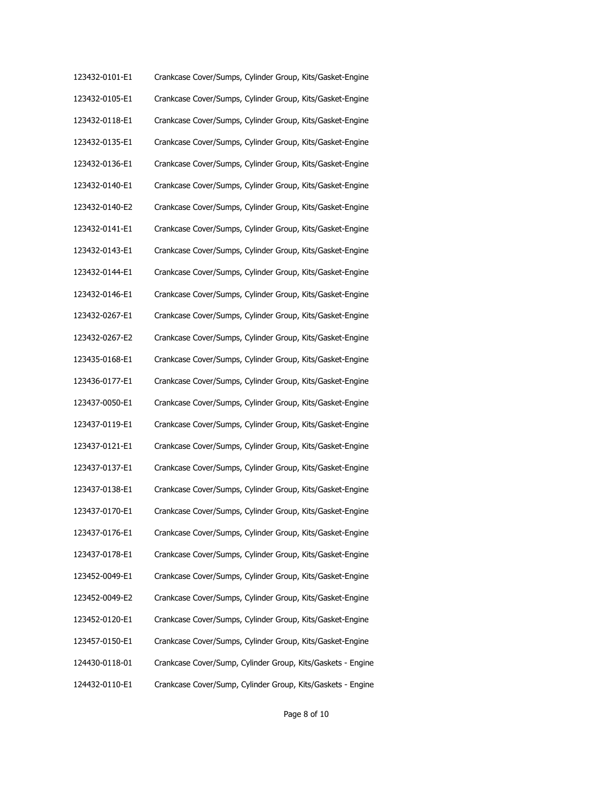| 123432-0101-E1 | Crankcase Cover/Sumps, Cylinder Group, Kits/Gasket-Engine   |
|----------------|-------------------------------------------------------------|
| 123432-0105-E1 | Crankcase Cover/Sumps, Cylinder Group, Kits/Gasket-Engine   |
| 123432-0118-E1 | Crankcase Cover/Sumps, Cylinder Group, Kits/Gasket-Engine   |
| 123432-0135-E1 | Crankcase Cover/Sumps, Cylinder Group, Kits/Gasket-Engine   |
| 123432-0136-E1 | Crankcase Cover/Sumps, Cylinder Group, Kits/Gasket-Engine   |
| 123432-0140-E1 | Crankcase Cover/Sumps, Cylinder Group, Kits/Gasket-Engine   |
| 123432-0140-E2 | Crankcase Cover/Sumps, Cylinder Group, Kits/Gasket-Engine   |
| 123432-0141-E1 | Crankcase Cover/Sumps, Cylinder Group, Kits/Gasket-Engine   |
| 123432-0143-E1 | Crankcase Cover/Sumps, Cylinder Group, Kits/Gasket-Engine   |
| 123432-0144-E1 | Crankcase Cover/Sumps, Cylinder Group, Kits/Gasket-Engine   |
| 123432-0146-E1 | Crankcase Cover/Sumps, Cylinder Group, Kits/Gasket-Engine   |
| 123432-0267-E1 | Crankcase Cover/Sumps, Cylinder Group, Kits/Gasket-Engine   |
| 123432-0267-E2 | Crankcase Cover/Sumps, Cylinder Group, Kits/Gasket-Engine   |
| 123435-0168-E1 | Crankcase Cover/Sumps, Cylinder Group, Kits/Gasket-Engine   |
| 123436-0177-E1 | Crankcase Cover/Sumps, Cylinder Group, Kits/Gasket-Engine   |
| 123437-0050-E1 | Crankcase Cover/Sumps, Cylinder Group, Kits/Gasket-Engine   |
| 123437-0119-E1 | Crankcase Cover/Sumps, Cylinder Group, Kits/Gasket-Engine   |
| 123437-0121-E1 | Crankcase Cover/Sumps, Cylinder Group, Kits/Gasket-Engine   |
| 123437-0137-E1 | Crankcase Cover/Sumps, Cylinder Group, Kits/Gasket-Engine   |
| 123437-0138-E1 | Crankcase Cover/Sumps, Cylinder Group, Kits/Gasket-Engine   |
| 123437-0170-E1 | Crankcase Cover/Sumps, Cylinder Group, Kits/Gasket-Engine   |
| 123437-0176-E1 | Crankcase Cover/Sumps, Cylinder Group, Kits/Gasket-Engine   |
| 123437-0178-E1 | Crankcase Cover/Sumps, Cylinder Group, Kits/Gasket-Engine   |
| 123452-0049-E1 | Crankcase Cover/Sumps, Cylinder Group, Kits/Gasket-Engine   |
| 123452-0049-E2 | Crankcase Cover/Sumps, Cylinder Group, Kits/Gasket-Engine   |
| 123452-0120-E1 | Crankcase Cover/Sumps, Cylinder Group, Kits/Gasket-Engine   |
| 123457-0150-E1 | Crankcase Cover/Sumps, Cylinder Group, Kits/Gasket-Engine   |
| 124430-0118-01 | Crankcase Cover/Sump, Cylinder Group, Kits/Gaskets - Engine |
| 124432-0110-E1 | Crankcase Cover/Sump, Cylinder Group, Kits/Gaskets - Engine |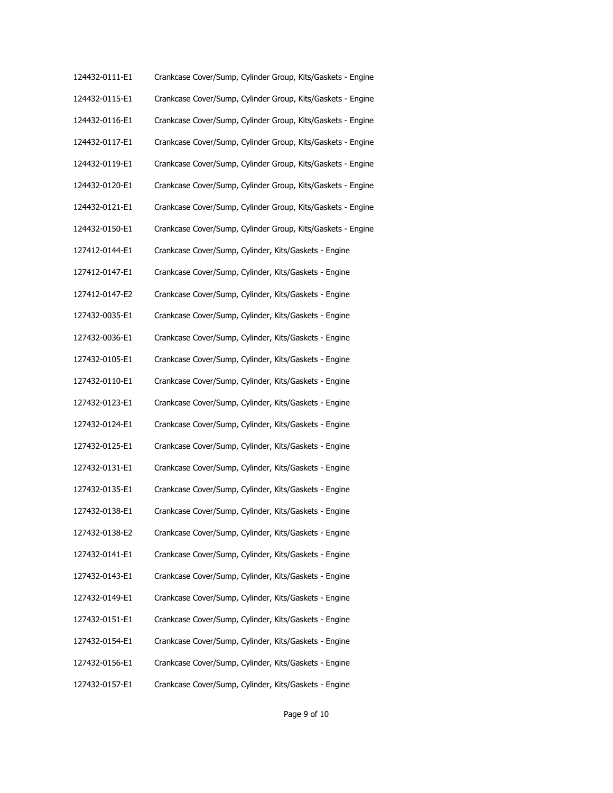| 124432-0111-E1 | Crankcase Cover/Sump, Cylinder Group, Kits/Gaskets - Engine |
|----------------|-------------------------------------------------------------|
| 124432-0115-E1 | Crankcase Cover/Sump, Cylinder Group, Kits/Gaskets - Engine |
| 124432-0116-E1 | Crankcase Cover/Sump, Cylinder Group, Kits/Gaskets - Engine |
| 124432-0117-E1 | Crankcase Cover/Sump, Cylinder Group, Kits/Gaskets - Engine |
| 124432-0119-E1 | Crankcase Cover/Sump, Cylinder Group, Kits/Gaskets - Engine |
| 124432-0120-E1 | Crankcase Cover/Sump, Cylinder Group, Kits/Gaskets - Engine |
| 124432-0121-E1 | Crankcase Cover/Sump, Cylinder Group, Kits/Gaskets - Engine |
| 124432-0150-E1 | Crankcase Cover/Sump, Cylinder Group, Kits/Gaskets - Engine |
| 127412-0144-E1 | Crankcase Cover/Sump, Cylinder, Kits/Gaskets - Engine       |
| 127412-0147-E1 | Crankcase Cover/Sump, Cylinder, Kits/Gaskets - Engine       |
| 127412-0147-E2 | Crankcase Cover/Sump, Cylinder, Kits/Gaskets - Engine       |
| 127432-0035-E1 | Crankcase Cover/Sump, Cylinder, Kits/Gaskets - Engine       |
| 127432-0036-E1 | Crankcase Cover/Sump, Cylinder, Kits/Gaskets - Engine       |
| 127432-0105-E1 | Crankcase Cover/Sump, Cylinder, Kits/Gaskets - Engine       |
| 127432-0110-E1 | Crankcase Cover/Sump, Cylinder, Kits/Gaskets - Engine       |
| 127432-0123-E1 | Crankcase Cover/Sump, Cylinder, Kits/Gaskets - Engine       |
| 127432-0124-E1 | Crankcase Cover/Sump, Cylinder, Kits/Gaskets - Engine       |
| 127432-0125-E1 | Crankcase Cover/Sump, Cylinder, Kits/Gaskets - Engine       |
| 127432-0131-E1 | Crankcase Cover/Sump, Cylinder, Kits/Gaskets - Engine       |
| 127432-0135-E1 | Crankcase Cover/Sump, Cylinder, Kits/Gaskets - Engine       |
| 127432-0138-E1 | Crankcase Cover/Sump, Cylinder, Kits/Gaskets - Engine       |
| 127432-0138-E2 | Crankcase Cover/Sump, Cylinder, Kits/Gaskets - Engine       |
| 127432-0141-E1 | Crankcase Cover/Sump, Cylinder, Kits/Gaskets - Engine       |
| 127432-0143-E1 | Crankcase Cover/Sump, Cylinder, Kits/Gaskets - Engine       |
| 127432-0149-E1 | Crankcase Cover/Sump, Cylinder, Kits/Gaskets - Engine       |
| 127432-0151-E1 | Crankcase Cover/Sump, Cylinder, Kits/Gaskets - Engine       |
| 127432-0154-E1 | Crankcase Cover/Sump, Cylinder, Kits/Gaskets - Engine       |
| 127432-0156-E1 | Crankcase Cover/Sump, Cylinder, Kits/Gaskets - Engine       |
| 127432-0157-E1 | Crankcase Cover/Sump, Cylinder, Kits/Gaskets - Engine       |